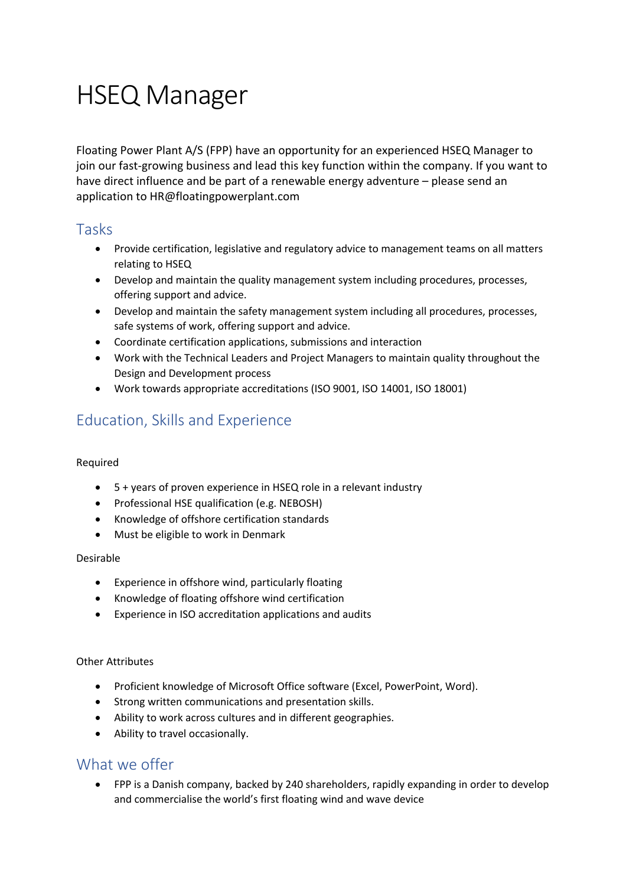# HSEQ Manager

Floating Power Plant A/S (FPP) have an opportunity for an experienced HSEQ Manager to join our fast-growing business and lead this key function within the company. If you want to have direct influence and be part of a renewable energy adventure – please send an application to HR@floatingpowerplant.com

### Tasks

- Provide certification, legislative and regulatory advice to management teams on all matters relating to HSEQ
- Develop and maintain the quality management system including procedures, processes, offering support and advice.
- Develop and maintain the safety management system including all procedures, processes, safe systems of work, offering support and advice.
- Coordinate certification applications, submissions and interaction
- Work with the Technical Leaders and Project Managers to maintain quality throughout the Design and Development process
- Work towards appropriate accreditations (ISO 9001, ISO 14001, ISO 18001)

# Education, Skills and Experience

#### Required

- 5 + years of proven experience in HSEQ role in a relevant industry
- Professional HSE qualification (e.g. NEBOSH)
- Knowledge of offshore certification standards
- Must be eligible to work in Denmark

#### Desirable

- Experience in offshore wind, particularly floating
- Knowledge of floating offshore wind certification
- Experience in ISO accreditation applications and audits

#### Other Attributes

- Proficient knowledge of Microsoft Office software (Excel, PowerPoint, Word).
- Strong written communications and presentation skills.
- Ability to work across cultures and in different geographies.
- Ability to travel occasionally.

## What we offer

• FPP is a Danish company, backed by 240 shareholders, rapidly expanding in order to develop and commercialise the world's first floating wind and wave device